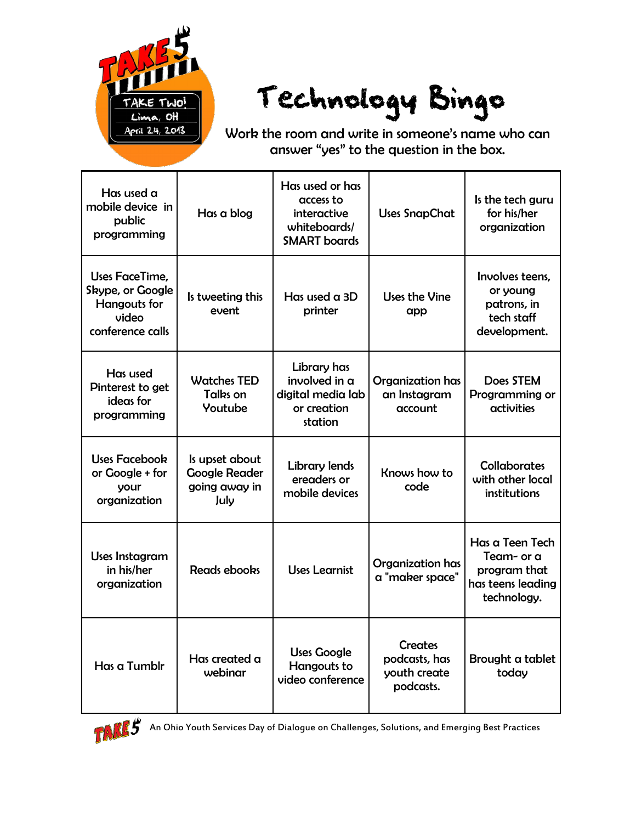

## Technology Bingo

Work the room and write in someone's name who can answer "yes" to the question in the box.

| Has used a<br>mobile device in<br>public<br>programming                                | Has a blog                                                      | Has used or has<br>access to<br>interactive<br>whiteboards/<br><b>SMART</b> boards | <b>Uses SnapChat</b>                                         | Is the tech guru<br>for his/her<br>organization                                   |
|----------------------------------------------------------------------------------------|-----------------------------------------------------------------|------------------------------------------------------------------------------------|--------------------------------------------------------------|-----------------------------------------------------------------------------------|
| Uses FaceTime,<br>Skype, or Google<br><b>Hangouts for</b><br>video<br>conference calls | Is tweeting this<br>event                                       | Has used $\alpha$ 3D<br>printer                                                    | Uses the Vine<br>app                                         | Involves teens.<br>or young<br>patrons, in<br>tech staff<br>development.          |
| Has used<br>Pinterest to get<br>ideas for<br>programming                               | <b>Watches TED</b><br>Talks on<br>Youtube                       | Library has<br>involved in a<br>digital media lab<br>or creation<br>station        | Organization has<br>an Instagram<br>account                  | Does STEM<br>Programming or<br>activities                                         |
| <b>Uses Facebook</b><br>or Google + for<br>your<br>organization                        | Is upset about<br><b>Google Reader</b><br>going away in<br>July | <b>Library lends</b><br>ereaders or<br>mobile devices                              | Knows how to<br>code                                         | <b>Collaborates</b><br>with other local<br>institutions                           |
| Uses Instagram<br>in his/her<br>organization                                           | Reads ebooks                                                    | Uses Learnist                                                                      | Organization has<br>a "maker space"                          | Has a Teen Tech<br>Team- or a<br>program that<br>has teens leading<br>technology. |
| Has a Tumblr                                                                           | Has created a<br>webinar                                        | <b>Uses Google</b><br>Hangouts to<br>video conference                              | <b>Creates</b><br>podcasts, has<br>youth create<br>podcasts. | Brought a tablet<br>today                                                         |



An Ohio Youth Services Day of Dialogue on Challenges, Solutions, and Emerging Best Practices